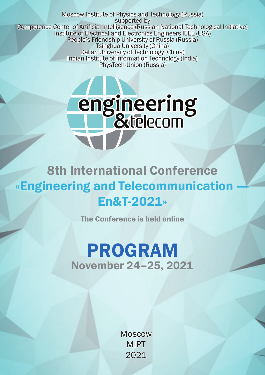Moscow Institute of Physics and Technology (Russia) supported by Competence Center of Artificial Intelligence (Russian National Technological Initiative) Institute of Electrical and Electronics Engineers IEEE (USA) People's Friendship University of Russia (Russia) Tsinghua University (China) Dalian University of Technology (China) Indian Institute of Information Technology (India) PhysTech-Union (Russia)



# 8th International Conference «Engineering and Telecommunication En&T-2021»

The Conference is held online

# PROGRAM November 24–25, 2021

**Moscow** MIPT 2021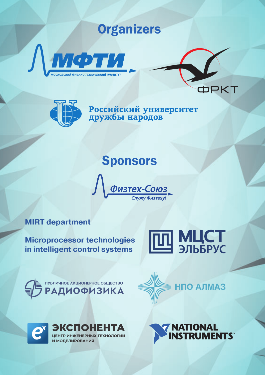# **Organizers**







Российский университет<br>дружбы народов

# **Sponsors**



#### **MIRT department**

**Microprocessor technologies in intelligent control systems**







ЭКСПОНЕНТА ЦЕНТР ИНЖЕНЕРНЫХ ТЕХНОЛОГИЙ И МОДЕЛИРОВАНИЯ

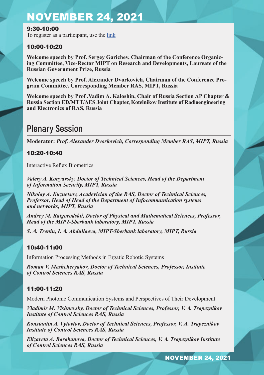9:30-10:00 To register as a participant, use the link

#### 10:00-10:20

**Welcome speech by Prof. Sergey Garichev, Chairman of the Conference Organizing Committee, Vice-Rector MIPT on Research and Developments, Laureate of the Russian Government Prize, Russia**

**Welcome speech by Prof. Alexander Dvorkovich, Chairman of the Conference Program Committee, Corresponding Member RAS, MIPT, Russia**

**Welcome speech by Prof .Vadim А. Kaloshin, Chair of Russia Section AP Chapter & Russia Section ED/MTT/AES Joint Chapter, Kotelnikov Institute of Radioengineering and Electronics of RAS, Russia**

### **Plenary Session**

**Moderator:** *Prof. Alexander Dvorkovich, Corresponding Member RAS, MIPT, Russia*

#### 10:20-10:40

Interactive Reflex Biometrics

*Valery A. Konyavsky, Doctor of Technical Sciences, Head of the Department of Information Security, MIPT, Russia*

*Nikolay A. Kuznetsov, Acadevician of the RAS, Doctor of Technical Sciences, Professor, Head of Head of the Department of Infocommunication systems and networks, MIPT, Russia*

*Andrey M. Raigorodskii, Doctor of Physical and Mathematical Sciences, Professor, Head of the MIPT-Sberbank laboratory, MIPT, Russia*

*S. A. Trenin, I. A. Abdullaeva, MIPT-Sberbank laboratory, MIPT, Russia*

#### 10:40-11:00

Information Processing Methods in Ergatic Robotic Systems

*Roman V. Meshcheryakov, Doctor of Technical Sciences, Professor, Institute of Control Sciences RAS, Russia*

#### 11:00-11:20

Modern Photonic Communication Systems and Perspectives of Their Development

*Vladimir M. Vishnevsky, Doctor of Technical Sciences, Professor, V. A. Trapeznikov Institute of Control Sciences RAS, Russia*

*Konstantin A. Vytovtov, Doctor of Technical Sciences, Professor, V. A. Trapeznikov Institute of Control Sciences RAS, Russia*

*Elizaveta A. Barabanova, Doctor of Technical Sciences, V. A. Trapeznikov Institute of Control Sciences RAS, Russia*

NOVEMBER 24, 2021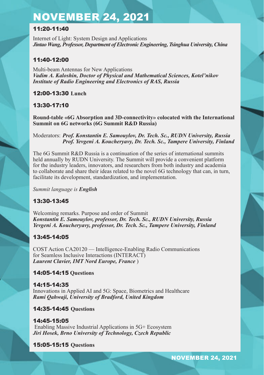#### 11:20-11:40

Internet of Light: System Design and Applications *Jintao Wang, Professor, Department of Electronic Engineering, Tsinghua University, China*

#### 11:40-12:00

Multi-beam Antennas for New Applications *Vadim A. Kaloshin, Doctor of Physical and Mathematical Sciences, Kotel'nikov Institute of Radio Engineering and Electronics of RAS, Russia*

12:00-13:30 **Lunch**

#### 13:30-17:10

**Round-table «6G Absorption and 3D-connectivity» colocated with the International Summit on 6G networks (6G Summit R&D Russia)**

Moderators: *Prof. Konstantin E. Samouylov, Dr. Tech. Sc., RUDN University, Russia Prof. Yevgeni А. Koucheryavy, Dr. Tech. Sc., Tampere University, Finland*

The 6G Summit R&D Russia is a continuation of the series of international summits held annually by RUDN University. The Summit will provide a convenient platform for the industry leaders, innovators, and researchers from both industry and academia to collaborate and share their ideas related to the novel 6G technology that can, in turn, facilitate its development, standardization, and implementation.

*Summit language is English*

#### 13:30-13:45

Welcoming remarks. Purpose and order of Summit *Konstantin E. Samouylov, professor, Dr. Tech. Sc., RUDN University, Russia Yevgeni А. Koucheryavy, professor, Dr. Tech. Sc., Tampere University, Finland* 

#### 13:45-14:05

COST Action CA20120 — Intelligence-Enabling Radio Communications for Seamless Inclusive Interactions (INTERACT) *Laurent Clavier, IMT Nord Europe, France* )

#### 14:05-14:15 **Questions**

14:15-14:35 Innovations in Applied AI and 5G: Space, Biometrics and Healthcare *Rami Qahwaji, University of Bradford, United Kingdom*

#### 14:35-14:45 **Questions**

14:45-15:05 Enabling Massive Industrial Applications in 5G+ Ecosystem *Jiri Hosek, Brno University of Technology, Czech Republic* 

#### 15:05-15:15 **Questions**

NOVEMBER 24, 2021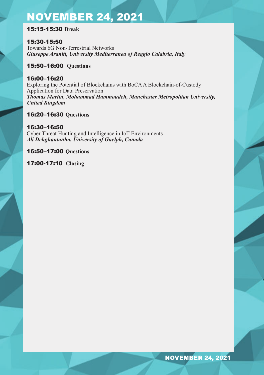#### 15:15-15:30 **Break**

15:30-15:50 Towards 6G Non-Terrestrial Networks *Giuseppe Araniti, University Mediterranea of Reggio Calabria, Italy*

#### 15:50–16:00 **Questions**

#### 16:00–16:20

Exploring the Potential of Blockchains with BoCA A Blockchain-of-Custody Application for Data Preservation *Thomas Martin, Mohammad Hammoudeh, Manchester Metropolitan University, United Kingdom*

#### 16:20–16:30 **Questions**

#### 16:30–16:50

Cyber Threat Hunting and Intelligence in IoT Environments *Ali Dehghantanha, University of Guelph, Canada*

16:50–17:00 **Questions**

17:00-17:10 **Closing**

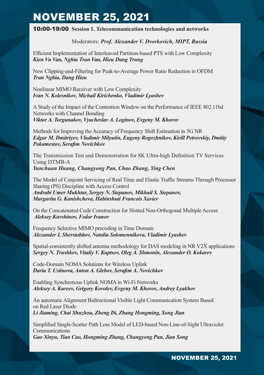10:00-19:00 **Session 1. Telecommunication technologies and networks** 

#### Moderators: *Prof. Alexander V. Dvorkovich, MIPT, Russia*

Efficient Implementation of Interleaved Partition-based PTS with Low Complexity *Kien Vu Van, Nghia Tran Van, Hieu Dang Trung*

New Clipping-and-Filtering for Peak-to-Average Power Ratio Reduction in OFDM *Tran Nghia, Dang Hieu*

Nonlinear MIMO Receiver with Low Complexity *Ivan N. Kolesnikov, Michail Kirichenko, Vladimir Lyashev* 

A Study of the Impact of the Contention Window on the Performance of IEEE 802.11bd Networks with Channel Bonding *Viktor A. Torgunakov, Vyacheslav A. Loginov, Evgeny M. Khorov* 

Methods for Improving the Accuracy of Frequency Shift Estimation in 5G NR *Edgar M. Dmitriyev, Vladimir Milyutin, Eugeny Rogozhnikov, Kirill Petrovskiy, Dmitiy Pokamestov, Serafim Novichkov* 

The Transmission Test and Demonstration for 8K Ultra-high Definition TV Services Using DTMB-A *Yunchuan Huang, Changyong Pan, Chao Zhang, Ying Chen*

The Model of Conjoint Servicing of Real Time and Elastic Traffic Streams Through Processor Sharing (PS) Discipline with Access Control *Andrabi Umer Mukhtar, Sergey N. Stepanov, Mikhail S. Stepanov, Margarita G. Kanishcheva, Habinshuti Francois Xavier*

On the Concatenated Code Construction for Slotted Non-Orthogonal Multiple Access  *Aleksey Kuvshinov, Fedor Ivanov* 

Frequency Selective MIMO precoding in Time Domain *Alexander I. Sherstobitov, Natalia Solomennikova, Vladimir Lyashev* 

Spatial-consistently shifted antenna methodology for DAS modeling in NR V2X applications *Sergey N. Trushkov, Vitaliy V. Kuptsov, Oleg A. Shmonin, Alexander O. Kokarev* 

Code-Domain NOMA Solutions for Wireless Uplink *Daria T. Ustinova, Anton A. Glebov, Serafim A. Novichkov* 

Enabling Synchronous Uplink NOMA in Wi-Fi Networks *Aleksey A. Kureev, Grigory Korolev, Evgeny M. Khorov, Andrey Lyakhov* 

An automatic Alignment Bidirectional Visible Light Communication System Based on Red Laser Diode *Li Jiaming, Chai Shuzhou, Zheng Di, Zhang Hongming, Song Jian*

Simplified Single-Scatter Path Loss Model of LED-based Non-Line-of-Sight Ultraviolet Communications *Gao Xinyu, Tian Cao, Hongming Zhang, Changyong Pan, Jian Song*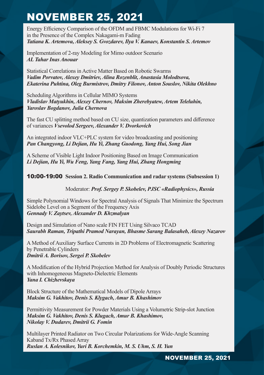Energy Efficiency Comparison of the OFDM and FBMC Modulations for Wi-Fi 7 in the Presence of the Complex Nakagami-m Fading *Tatiana K. Artemova, Aleksey S. Gvozdarev, Ilya V. Kanaev, Konstantin S. Artemov*

Implementation of 2-ray Modeling for Mimo outdoor Scenario *AL Tahar Inas Anouar*

Statistical Correlations in Active Matter Based on Robotic Swarms *Vadim Porvatov, Alexey Dmitriev, Alina Rozenblit, Anastasia Molodtsova, Ekaterina Puhtina, Oleg Burmistrov, Dmitry Filonov, Anton Souslov, Nikita Olekhno* 

Scheduling Algorithms in Cellular MIMO Systems *Vladislav Matyukhin, Alexey Chernov, Maksim Zherebyatew, Artem Teleluhin, Yaroslav Bogdanov, Julia Chernova*

The fast CU splitting method based on CU size, quantization parameters and difference of variances *Vsevolod Sergeev, Alexander V. Dvorkovich* 

An integrated indoor VLC+PLC system for video broadcasting and positioning *Pan Changyong, Li Dejian, Hu Yi, Zhang Guodong, Yang Hui, Song Jian*

A Scheme of Visible Light Indoor Positioning Based on Image Communication *Li Dejian, Hu Yi, Wu Feng, Yang Fang, Yang Hui, Zhang Hongming*

#### 10:00-19:00 **Session 2. Radio Communication and radar systems (Subsession 1)**

Moderator: *Prof. Sergey P. Skobelev, PJSC «Radiophysics», Russia*

Simple Polynomial Windows for Spectral Analysis of Signals That Minimize the Spectrum Sidelobe Level on a Segment of the Frequency Axis *Gennady V. Zaytsev, Alexander D. Khzmalyan*

Design and Simulation of Nano scale FIN FET Using Silvaco TCAD *Saurabh Raman, Tripathi Pramod Narayan, Bhasme Sarang Balasaheb, Alexey Nazarov*

A Method of Auxiliary Surface Currents in 2D Problems of Electromagnetic Scattering by Penetrable Cylinders *Dmitrii A. Borisov, Sergei P. Skobelev*

A Modification of the Hybrid Projection Method for Analysis of Doubly Periodic Structures with Inhomogeneous Magneto-Dielectric Elements *Yana I. Chizhevskaya* 

Block Structure of the Mathematical Models of Dipole Arrays *Maksim G. Vakhitov, Denis S. Klygach, Amur B. Khashimov*

Permittivity Measurement for Powder Materials Using a Volumetric Strip-slot Junction *Maksim G. Vakhitov, Denis S. Klugach, Amur B. Khashimov, Nikolay V. Dudarev, Dmitrii G. Fomin* 

Multilayer Printed Radiator on Two Circular Polarizations for Wide-Angle Scanning Kaband Tx/Rx Phased Array *Ruslan A. Kolesnikov, Yuri B. Korchemkin, M. S. Uhm, S. H. Yun*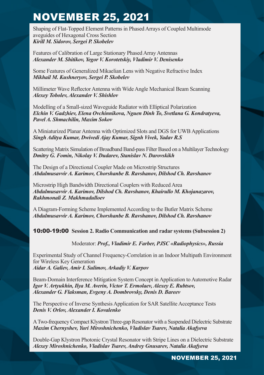Shaping of Flat-Topped Element Patterns in Phased Arrays of Coupled Multimode aveguides of Hexagonal Cross Section *Kirill M. Sidorov, Sergei P. Skobelev*

Features of Calibration of Large Stationary Phased Array Antennas *Alexander M. Shitikov, Yegor V. Korotetskiy, Vladimir V. Denisenko*

Some Features of Generalized Mikaelian Lens with Negative Refractive Index *Mikhail M. Kushneryov, Sergei P. Skobelev*

Millimeter Wave Reflector Antenna with Wide Angle Mechanical Beam Scanning *Alexey Tobolev, Alexander V. Shishlov*

Modelling of a Small-sized Waveguide Radiator with Elliptical Polarization *Elchin V. Gadzhiev, Elena Ovchinnikova, Nguen Dinh To, Svetlana G. Kondratyeva, Pavel A. Shmachilin, Maxim Sokov*

A Miniaturized Planar Antenna with Optimized Slots and DGS for UWB Applications *Singh Aditya Kumar, Dwivedi Ajay Kumar, Signh Vivek, Yadav R.S*

Scattering Matrix Simulation of Broadband Band-pass Filter Based on a Multilayer Technology *Dmitry G. Fomin, Nikolay V. Dudarev, Stanislav N. Darovskikh*

The Design of a Directional Coupler Made on Microstrip Structures *Abdulmusavvir A. Karimov, Chorshanbe B. Ravshanov, Dilshod Ch. Ravshanov*

Microstrip High Bandwidth Directional Couplers with Reduced Area *Abdulmusavvir A. Karimov, Dilshod Ch. Ravshanov, Khairullo M. Khojanazarov, Rakhmonali Z. Makhmadulloev* 

A Diagram-Forming Scheme Implemented According to the Butler Matrix Scheme *Abdulmusavvir A. Karimov, Chorshanbe B. Ravshanov, Dilshod Ch. Ravshanov*

#### 10:00-19:00 **Session 2. Radio Communication and radar systems (Subsession 2)**

Moderator: *Prof., Vladimir E. Farber, PJSC «Radiophysics», Russia*

Experimental Study of Channel Frequency-Correlation in an Indoor Multipath Environment for Wireless Key Generation *Aidar A. Galiev, Amir I. Sulimov, Arkadiy V. Karpov*

Beam-Domain Interference Mitigation System Concept in Application to Automotive Radar *Igor V. Artyukhin, Ilya M. Averin, Victor T. Ermolaev, Alexey E. Rubtsov, Alexander G. Flaksman, Evgeny A. Dombrovsky, Denis D. Bareev*

The Perspective of Inverse Synthesis Application for SAR Satellite Acceptance Tests *Denis V. Orlov, Alexander I. Kovalenko*

A Two-frequency Compact Klystron Three-gap Resonator with a Suspended Dielectric Substrate *Maxim Chernyshev, Yuri Miroshnichenko, Vladislav Tsarev, Natalia Akafyeva*

Double-Gap Klystron Photonic Crystal Resonator with Stripe Lines on a Dielectric Substrate *Alexey Miroshnichenko, Vladislav Tsarev, Andrey Gnusarev, Natalia Akafyeva*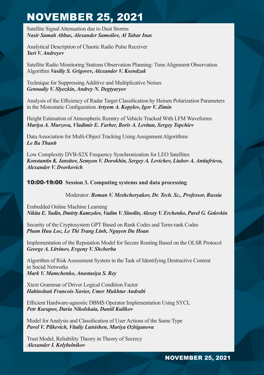Satellite Signal Attenuation due to Dust Storms *Nasir Samah Abbas, Alexander Samoilov, Al Tahar Inas*

Analytical Description of Chaotic Radio Pulse Receiver *Yuri V. Andreyev*

Satellite Radio Monitoring Stations Observation Planning: Time Alignment Observation Algorithm *Vasiliy S. Grigorev, Alexander V. Ksendzuk*

Technique for Suppressing Additive and Multiplicative Noises *Gennadiy V. Slyozkin, Andrey N. Degtyaryov*

Analysis of the Efficiency of Radar Target Сlassification by Heinen Polarization Parameters in the Monostatic Configuration *Artyom A. Kopylov, Igor V. Zimin*

Height Estimation of Atmospheric Reentry of Vehicle Tracked With LFM Waveforms *Mariya A. Murzova, Vladimir E. Farber, Boris А. Levitan, Sergey Topchiev*

Data Association for Multi-Object Tracking Using Assignment Algorithms *Le Ba Thanh*

Low Complexity DVB-S2X Frequency Synchronization for LEO Satellites *Konstantin K. Iansitov, Semyon V. Dorokhin, Sergey A. Levichev, Liubov A. Antiufrieva, Alexander V. Dvorkovich*

10:00-19:00 **Session 3. Computing systems and data processing** 

Moderator: *Roman V. Meshcheryakov, Dr. Tech. Sc., Professor, Russia*

Embedded Online Machine Learning *Nikita Е. Yudin, Dmirty Kamzolov, Vadim V. Sinolits, Alexey V. Erchenko, Pavel G. Golovkin*

Security of the Cryptosystem GPT Based on Rank Codes and Term-rank Codes *Pham Huu Loc, Le Thi Trang Linh, Nguyen Du Hoan*

Implementation of the Reputation Model for Secure Routing Based on the OLSR Protocol *George A. Litvinov, Evgeny V. Shcherba* 

Algorithm of Risk Assessment System in the Task of Identifying Destructive Content in Social Networks *Mark V. Mamchenko, Anastasiya S. Rey*

Xtext Grammar of Driver Logical Condition Factor *Habinshuti Francois Xavier, Umer Mukhtar Andrabi*

Efficient Hardware-agnostic DBMS Operator Implementation Using SYCL *Petr Kurapov, Daria Nikolskaia, Daniil Kulikov*

Model for Analysis and Classification of User Actions of the Same Type *Pavel V. Pilkevich, Vitaliy Lutsishen, Mariya Ozhiganova*

Trust Model, Reliability Theory in Theory of Secrecy *Alexander I. Kolybelnikov*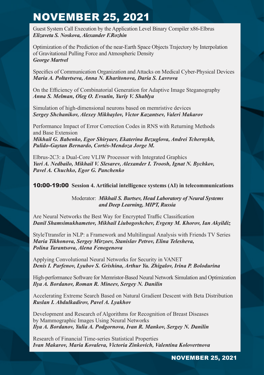Guest System Call Execution by the Application Level Binary Compiler x86-Elbrus *Elizaveta S. Noskova, Alexander F.Rozhin*

Optimization of the Prediction of the near-Earth Space Objects Trajectory by Interpolation of Gravitational Pulling Force and Atmospheric Density *George Martvel*

Specifics of Communication Organization and Attacks on Medical Cyber-Physical Devices *Maria A. Poltavtseva, Anna N. Kharitonova, Daria S. Lavrova*

On the Efficiency of Combinatorial Generation for Adaptive Image Steganography *Anna S. Melman, Oleg O. Evsutin, Yuriy V. Shablya*

Simulation of high-dimensional neurons based on memristive devices *Sergey Shchanikov, Alexey Mikhaylov, Victor Kazantsev, Valeri Makarov*

Performance Impact of Error Correction Codes in RNS with Returning Methods and Base Extension

*Mikhail G. Babenko, Egor Shiryaev, Ekaterina Bezuglova, Andrei Tchernykh, Pulido-Gaytan Bernardo, Cortés-Mendoza Jorge M.*

Elbrus-2C3: a Dual-Core VLIW Processor with Integrated Graphics *Yuri A. Nedbailo, Mikhail V. Slesarev, Alexander I. Troosh, Ignat N. Bychkov, Pavel A. Chuchko, Egor G. Panchenko*

10:00-19:00 **Session 4. Artificial intelligence systems (AI) in telecommunications**

Moderator: *Mikhail S. Burtsev, Head Laboratory of Neural Systems and Deep Learning, MIPT, Russia*

Are Neural Networks the Best Way for Encrypted Traffic Classification *Danil Shamsimukhametov, Mikhail Liubogoshchev, Evgeny M. Khorov, Ian Akyildiz* 

StyleTtransfer in NLP: a Framework and Multilingual Analysis with Friends TV Series *Maria Tikhonova, Sergey Mirzoev, Stanislav Petrov, Elina Telesheva, Polina Tarantsova, Alena Fenogenova* 

Applying Convolutional Neural Networks for Security in VANET *Denis I. Parfenov, Lyubov S. Grishina, Arthur Yu. Zhigalov, Irina P. Bolodurina* 

High-performance Software for Memristor-Based Neural Network Simulation and Optimization *Ilya A. Bordanov, Roman R. Mineev, Sergey N. Danilin*

Accelerating Extreme Search Based on Natural Gradient Descent with Beta Distribution *Ruslan I. Abdulkadirov, Pavel A. Lyakhov*

Development and Research of Algorithms for Recognition of Breast Diseases by Mammographic Images Using Neural Networks *Ilya A. Bordanov, Yulia A. Podgornova, Ivan R. Mankov, Sergey N. Danilin*

Research of Financial Time-series Statistical Properties *Ivan Makarov, Maria Kovaleva, Victoria Zinkovich, Valentina Kolovertnova*